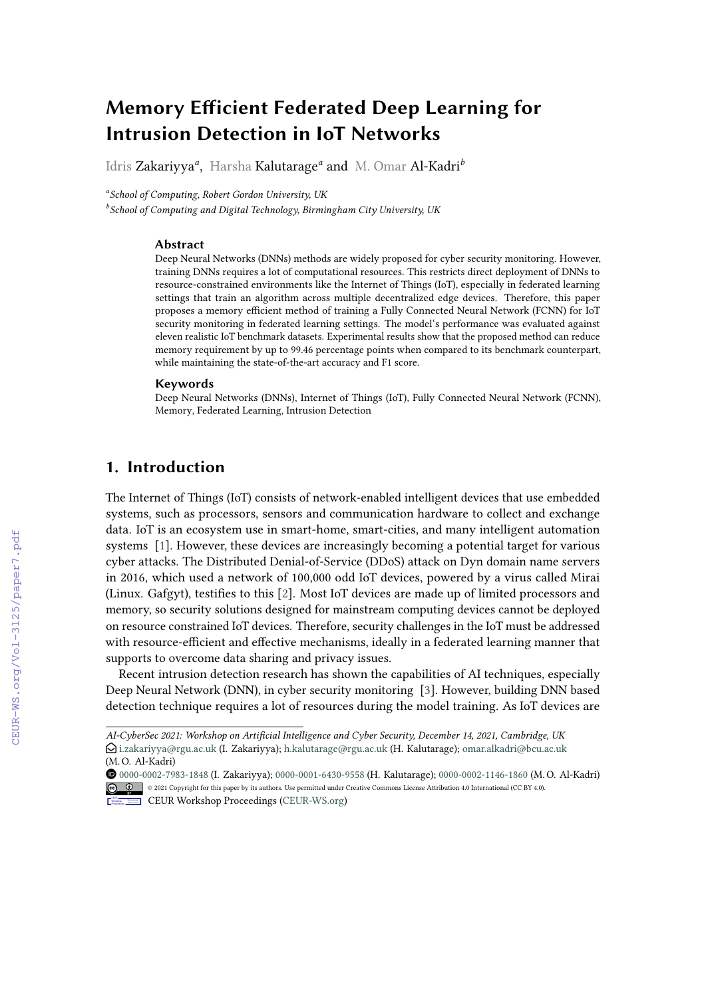# **Memory Efficient Federated Deep Learning for Intrusion Detection in IoT Networks**

Idris Zakariyya*<sup>a</sup>* , Harsha Kalutarage*<sup>a</sup>* and M. Omar Al-Kadri*<sup>b</sup>*

*a School of Computing, Robert Gordon University, UK*

*b School of Computing and Digital Technology, Birmingham City University, UK*

#### **Abstract**

Deep Neural Networks (DNNs) methods are widely proposed for cyber security monitoring. However, training DNNs requires a lot of computational resources. This restricts direct deployment of DNNs to resource-constrained environments like the Internet of Things (IoT), especially in federated learning settings that train an algorithm across multiple decentralized edge devices. Therefore, this paper proposes a memory efficient method of training a Fully Connected Neural Network (FCNN) for IoT security monitoring in federated learning settings. The model's performance was evaluated against eleven realistic IoT benchmark datasets. Experimental results show that the proposed method can reduce memory requirement by up to 99.46 percentage points when compared to its benchmark counterpart, while maintaining the state-of-the-art accuracy and F1 score.

#### **Keywords**

Deep Neural Networks (DNNs), Internet of Things (IoT), Fully Connected Neural Network (FCNN), Memory, Federated Learning, Intrusion Detection

# **1. Introduction**

The Internet of Things (IoT) consists of network-enabled intelligent devices that use embedded systems, such as processors, sensors and communication hardware to collect and exchange data. IoT is an ecosystem use in smart-home, smart-cities, and many intelligent automation systems [\[1\]](#page--1-0). However, these devices are increasingly becoming a potential target for various cyber attacks. The Distributed Denial-of-Service (DDoS) attack on Dyn domain name servers in 2016, which used a network of 100,000 odd IoT devices, powered by a virus called Mirai (Linux. Gafgyt), testifies to this [\[2\]](#page--1-1). Most IoT devices are made up of limited processors and memory, so security solutions designed for mainstream computing devices cannot be deployed on resource constrained IoT devices. Therefore, security challenges in the IoT must be addressed with resource-efficient and effective mechanisms, ideally in a federated learning manner that supports to overcome data sharing and privacy issues.

Recent intrusion detection research has shown the capabilities of AI techniques, especially Deep Neural Network (DNN), in cyber security monitoring [\[3\]](#page--1-2). However, building DNN based detection technique requires a lot of resources during the model training. As IoT devices are

 [0000-0002-7983-1848](https://orcid.org/0000-0002-7983-1848) (I. Zakariyya); [0000-0001-6430-9558](https://orcid.org/0000-0001-6430-9558) (H. Kalutarage); [0000-0002-1146-1860](https://orcid.org/0000-0002-1146-1860) (M. O. Al-Kadri) © 2021 Copyright for this paper by its authors. Use permitted under Creative Commons License Attribution 4.0 International (CC BY 4.0).

*AI-CyberSec 2021: Workshop on Artificial Intelligence and Cyber Security, December 14, 2021, Cambridge, UK* \$ [i.zakariyya@rgu.ac.uk](mailto:i.zakariyya@rgu.ac.uk) (I. Zakariyya); [h.kalutarage@rgu.ac.uk](mailto:h.kalutarage@rgu.ac.uk) (H. Kalutarage); [omar.alkadri@bcu.ac.uk](mailto:omar.alkadri@bcu.ac.uk) (M. O. Al-Kadri)

CEUR Workshop [Proceedings](http://ceur-ws.org) [\(CEUR-WS.org\)](http://ceur-ws.org)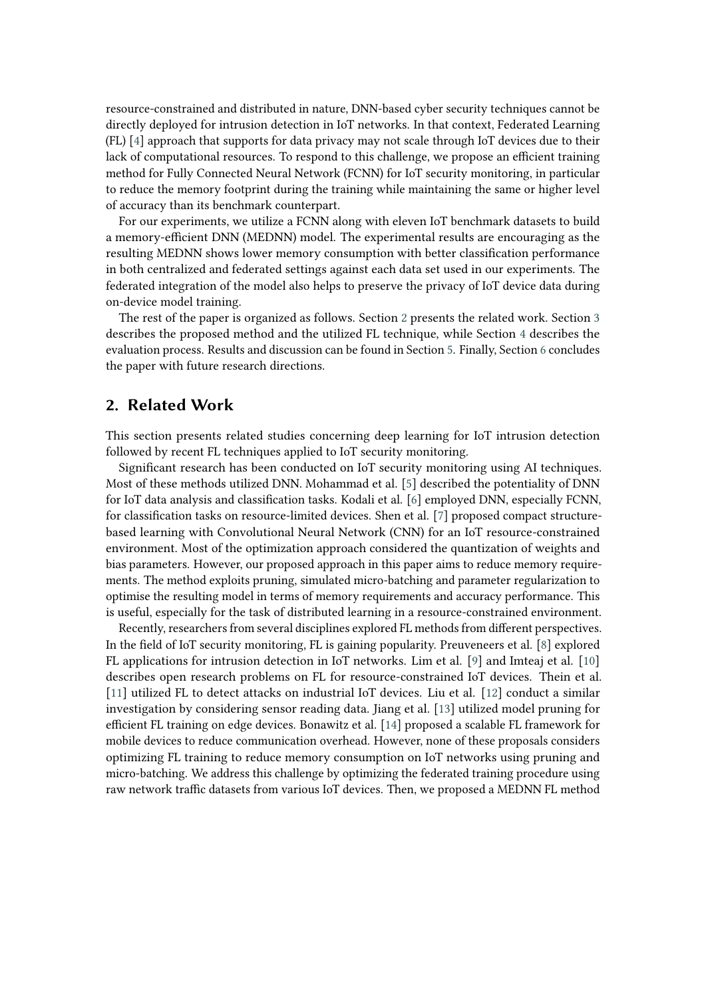resource-constrained and distributed in nature, DNN-based cyber security techniques cannot be directly deployed for intrusion detection in IoT networks. In that context, Federated Learning (FL) [\[4\]](#page-12-0) approach that supports for data privacy may not scale through IoT devices due to their lack of computational resources. To respond to this challenge, we propose an efficient training method for Fully Connected Neural Network (FCNN) for IoT security monitoring, in particular to reduce the memory footprint during the training while maintaining the same or higher level of accuracy than its benchmark counterpart.

For our experiments, we utilize a FCNN along with eleven IoT benchmark datasets to build a memory-efficient DNN (MEDNN) model. The experimental results are encouraging as the resulting MEDNN shows lower memory consumption with better classification performance in both centralized and federated settings against each data set used in our experiments. The federated integration of the model also helps to preserve the privacy of IoT device data during on-device model training.

The rest of the paper is organized as follows. Section [2](#page-1-0) presents the related work. Section [3](#page-2-0) describes the proposed method and the utilized FL technique, while Section [4](#page-4-0) describes the evaluation process. Results and discussion can be found in Section [5.](#page-7-0) Finally, Section [6](#page-11-0) concludes the paper with future research directions.

### <span id="page-1-0"></span>**2. Related Work**

This section presents related studies concerning deep learning for IoT intrusion detection followed by recent FL techniques applied to IoT security monitoring.

Significant research has been conducted on IoT security monitoring using AI techniques. Most of these methods utilized DNN. Mohammad et al. [\[5\]](#page-12-1) described the potentiality of DNN for IoT data analysis and classification tasks. Kodali et al. [\[6\]](#page-12-2) employed DNN, especially FCNN, for classification tasks on resource-limited devices. Shen et al. [\[7\]](#page-12-3) proposed compact structurebased learning with Convolutional Neural Network (CNN) for an IoT resource-constrained environment. Most of the optimization approach considered the quantization of weights and bias parameters. However, our proposed approach in this paper aims to reduce memory requirements. The method exploits pruning, simulated micro-batching and parameter regularization to optimise the resulting model in terms of memory requirements and accuracy performance. This is useful, especially for the task of distributed learning in a resource-constrained environment.

Recently, researchers from several disciplines explored FL methods from different perspectives. In the field of IoT security monitoring, FL is gaining popularity. Preuveneers et al. [\[8\]](#page-12-4) explored FL applications for intrusion detection in IoT networks. Lim et al. [\[9\]](#page-12-5) and Imteaj et al. [\[10\]](#page-12-6) describes open research problems on FL for resource-constrained IoT devices. Thein et al. [\[11\]](#page-12-7) utilized FL to detect attacks on industrial IoT devices. Liu et al. [\[12\]](#page-13-0) conduct a similar investigation by considering sensor reading data. Jiang et al. [\[13\]](#page-13-1) utilized model pruning for efficient FL training on edge devices. Bonawitz et al. [\[14\]](#page-13-2) proposed a scalable FL framework for mobile devices to reduce communication overhead. However, none of these proposals considers optimizing FL training to reduce memory consumption on IoT networks using pruning and micro-batching. We address this challenge by optimizing the federated training procedure using raw network traffic datasets from various IoT devices. Then, we proposed a MEDNN FL method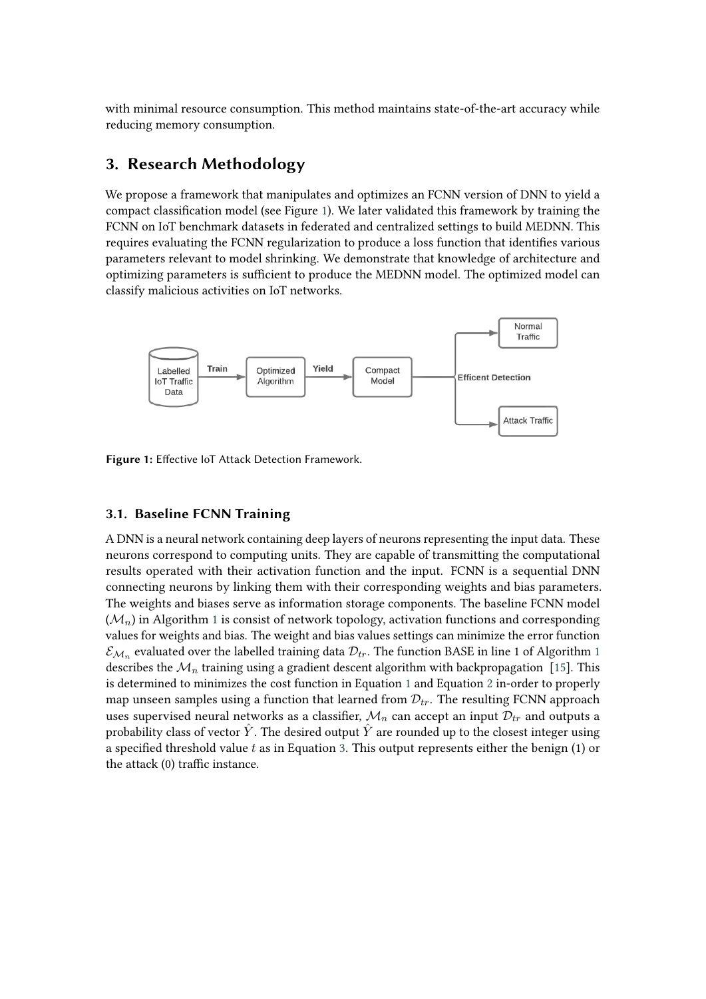with minimal resource consumption. This method maintains state-of-the-art accuracy while reducing memory consumption.

# <span id="page-2-0"></span>**3. Research Methodology**

We propose a framework that manipulates and optimizes an FCNN version of DNN to yield a compact classification model (see Figure [1\)](#page-2-1). We later validated this framework by training the FCNN on IoT benchmark datasets in federated and centralized settings to build MEDNN. This requires evaluating the FCNN regularization to produce a loss function that identifies various parameters relevant to model shrinking. We demonstrate that knowledge of architecture and optimizing parameters is sufficient to produce the MEDNN model. The optimized model can classify malicious activities on IoT networks.

<span id="page-2-1"></span>

**Figure 1:** Effective IoT Attack Detection Framework.

### **3.1. Baseline FCNN Training**

A DNN is a neural network containing deep layers of neurons representing the input data. These neurons correspond to computing units. They are capable of transmitting the computational results operated with their activation function and the input. FCNN is a sequential DNN connecting neurons by linking them with their corresponding weights and bias parameters. The weights and biases serve as information storage components. The baseline FCNN model  $(\mathcal{M}_n)$  in Algorithm [1](#page-3-0) is consist of network topology, activation functions and corresponding values for weights and bias. The weight and bias values settings can minimize the error function  $\mathcal{E}_{\mathcal{M}_n}$  evaluated over the labelled training data  $\mathcal{D}_{tr}$ . The function BASE in line [1](#page-3-0) of Algorithm 1 describes the  $\mathcal{M}_n$  training using a gradient descent algorithm with backpropagation [\[15\]](#page-13-3). This is determined to minimizes the cost function in Equation [1](#page-3-1) and Equation [2](#page-3-2) in-order to properly map unseen samples using a function that learned from  $\mathcal{D}_{tr}$ . The resulting FCNN approach uses supervised neural networks as a classifier,  $\mathcal{M}_n$  can accept an input  $\mathcal{D}_{tr}$  and outputs a probability class of vector  $\hat{Y}$ . The desired output  $\hat{Y}$  are rounded up to the closest integer using a specified threshold value  $t$  as in Equation [3.](#page-3-3) This output represents either the benign (1) or the attack (0) traffic instance.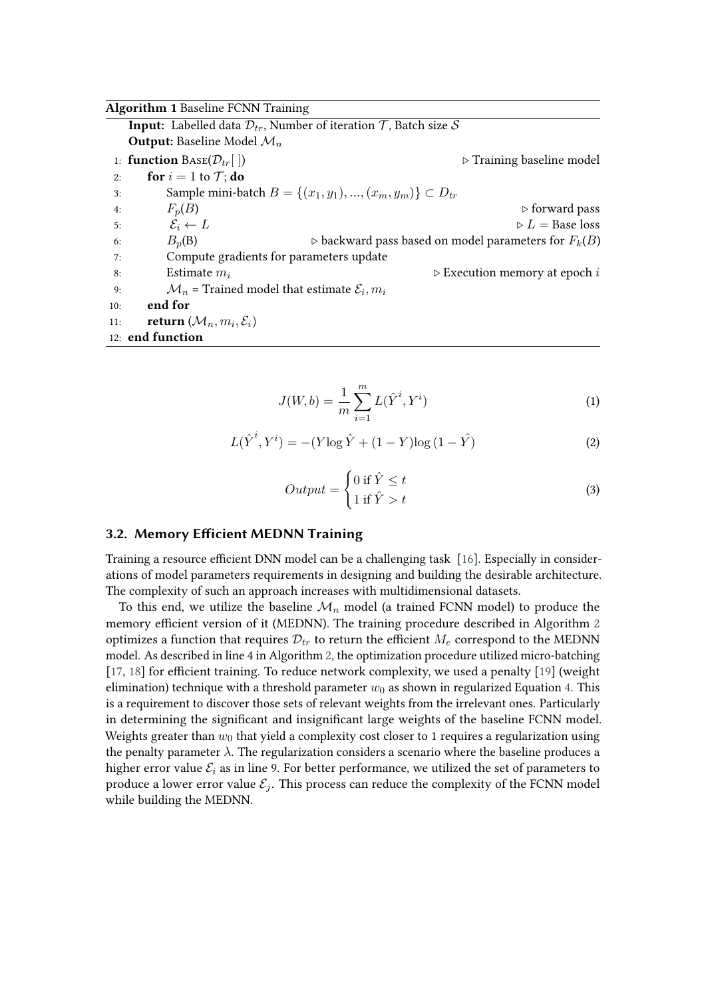<span id="page-3-0"></span>

|     | <b>Algorithm 1 Baseline FCNN Training</b>                                                         |                                                                       |  |  |  |  |  |  |
|-----|---------------------------------------------------------------------------------------------------|-----------------------------------------------------------------------|--|--|--|--|--|--|
|     | <b>Input:</b> Labelled data $\mathcal{D}_{tr}$ , Number of iteration $\mathcal{T}$ , Batch size S |                                                                       |  |  |  |  |  |  |
|     | <b>Output:</b> Baseline Model $\mathcal{M}_n$                                                     |                                                                       |  |  |  |  |  |  |
|     | 1: <b>function</b> $\text{Base}(\mathcal{D}_{tr} \mid )$                                          | $\triangleright$ Training baseline model                              |  |  |  |  |  |  |
| 2:  | <b>for</b> $i = 1$ to $\mathcal{T}$ ; <b>do</b>                                                   |                                                                       |  |  |  |  |  |  |
| 3:  |                                                                                                   | Sample mini-batch $B = \{(x_1, y_1), , (x_m, y_m)\} \subset D_{tr}$   |  |  |  |  |  |  |
| 4:  | $F_n(B)$                                                                                          | $\triangleright$ forward pass                                         |  |  |  |  |  |  |
| 5:  | $\mathcal{E}_i \leftarrow L$                                                                      | $\triangleright L =$ Base loss                                        |  |  |  |  |  |  |
| 6:  | $B_n(B)$                                                                                          | $\triangleright$ backward pass based on model parameters for $F_k(B)$ |  |  |  |  |  |  |
| 7:  | Compute gradients for parameters update                                                           |                                                                       |  |  |  |  |  |  |
| 8:  | Estimate $m_i$                                                                                    | $\triangleright$ Execution memory at epoch i                          |  |  |  |  |  |  |
| 9:  | $\mathcal{M}_n$ = Trained model that estimate $\mathcal{E}_i, m_i$                                |                                                                       |  |  |  |  |  |  |
| 10: | end for                                                                                           |                                                                       |  |  |  |  |  |  |
| 11: | <b>return</b> $(\mathcal{M}_n, m_i, \mathcal{E}_i)$                                               |                                                                       |  |  |  |  |  |  |
|     | 12: end function                                                                                  |                                                                       |  |  |  |  |  |  |

<span id="page-3-1"></span>
$$
J(W, b) = \frac{1}{m} \sum_{i=1}^{m} L(\hat{Y}^i, Y^i)
$$
 (1)

<span id="page-3-2"></span>
$$
L(\hat{Y}^{i}, Y^{i}) = -(Y \log \hat{Y} + (1 - Y) \log (1 - \hat{Y})
$$
\n(2)

<span id="page-3-3"></span>
$$
Output = \begin{cases} 0 \text{ if } \hat{Y} \leq t \\ 1 \text{ if } \hat{Y} > t \end{cases}
$$
 (3)

### **3.2. Memory Efficient MEDNN Training**

Training a resource efficient DNN model can be a challenging task [\[16\]](#page-13-4). Especially in considerations of model parameters requirements in designing and building the desirable architecture. The complexity of such an approach increases with multidimensional datasets.

To this end, we utilize the baseline  $\mathcal{M}_n$  model (a trained FCNN model) to produce the memory efficient version of it (MEDNN). The training procedure described in Algorithm [2](#page-4-1) optimizes a function that requires  $\mathcal{D}_{tr}$  to return the efficient  $M_e$  correspond to the MEDNN model. As described in line 4 in Algorithm [2,](#page-4-1) the optimization procedure utilized micro-batching [\[17,](#page-13-5) [18\]](#page-13-6) for efficient training. To reduce network complexity, we used a penalty [\[19\]](#page-13-7) (weight elimination) technique with a threshold parameter  $w_0$  as shown in regularized Equation [4.](#page-4-2) This is a requirement to discover those sets of relevant weights from the irrelevant ones. Particularly in determining the significant and insignificant large weights of the baseline FCNN model. Weights greater than  $w_0$  that yield a complexity cost closer to 1 requires a regularization using the penalty parameter  $\lambda$ . The regularization considers a scenario where the baseline produces a higher error value  $\mathcal{E}_i$  as in line 9. For better performance, we utilized the set of parameters to produce a lower error value  $\mathcal{E}_i$ . This process can reduce the complexity of the FCNN model while building the MEDNN.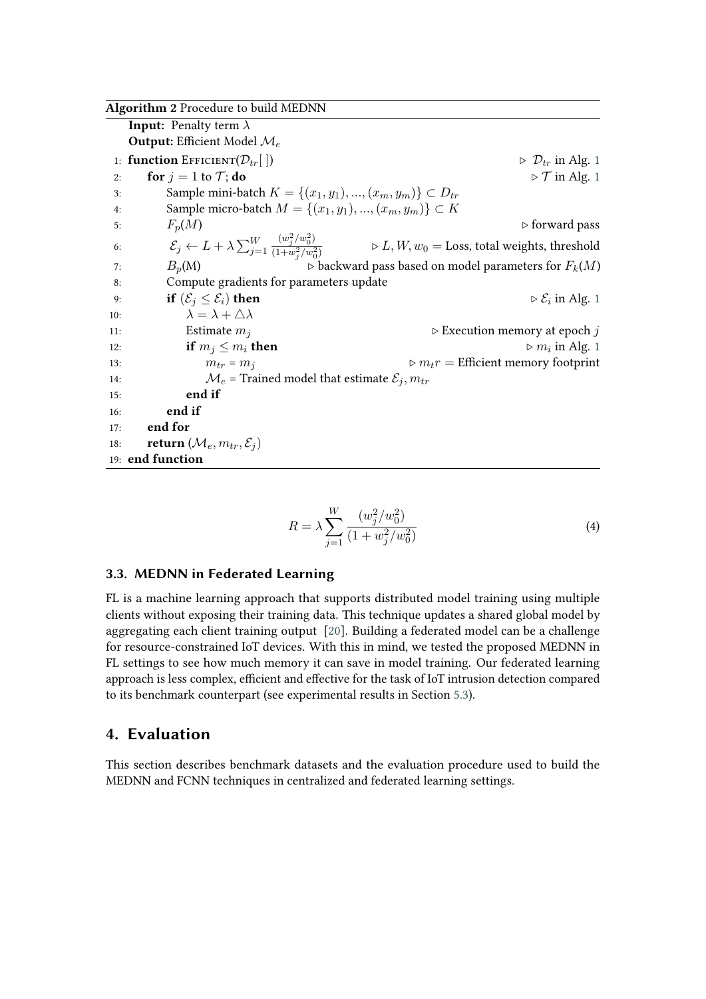<span id="page-4-1"></span>

|     | Algorithm 2 Procedure to build MEDNN                                  |                                                                                                                                                      |
|-----|-----------------------------------------------------------------------|------------------------------------------------------------------------------------------------------------------------------------------------------|
|     | <b>Input:</b> Penalty term $\lambda$                                  |                                                                                                                                                      |
|     | <b>Output:</b> Efficient Model $\mathcal{M}_e$                        |                                                                                                                                                      |
|     | 1: <b>function</b> EFFICIENT $(\mathcal{D}_{tr} \mid)$                | $\triangleright$ $\mathcal{D}_{tr}$ in Alg. 1                                                                                                        |
| 2:  | for $j = 1$ to $\mathcal{T}$ ; do                                     | $\triangleright$ $\mathcal T$ in Alg. 1                                                                                                              |
| 3:  | Sample mini-batch $K = \{(x_1, y_1), , (x_m, y_m)\} \subset D_{tr}$   |                                                                                                                                                      |
| 4:  | Sample micro-batch $M = \{(x_1, y_1), , (x_m, y_m)\} \subset K$       |                                                                                                                                                      |
| 5:  | $F_p(M)$                                                              | $\triangleright$ forward pass                                                                                                                        |
| 6:  |                                                                       | $\mathcal{E}_j \leftarrow L + \lambda \sum_{j=1}^W \frac{(w_j^2/w_0^2)}{(1+w_0^2/w_0^2)}$ $\Rightarrow$ $L, W, w_0 =$ Loss, total weights, threshold |
| 7:  | $B_p(M)$                                                              | $\triangleright$ backward pass based on model parameters for $F_k(M)$                                                                                |
| 8:  | Compute gradients for parameters update                               |                                                                                                                                                      |
| 9:  | if $(\mathcal{E}_i \leq \mathcal{E}_i)$ then                          | $\triangleright \mathcal{E}_i$ in Alg. 1                                                                                                             |
| 10: | $\lambda = \lambda + \triangle \lambda$                               |                                                                                                                                                      |
| 11: | Estimate $m_i$                                                        | $\triangleright$ Execution memory at epoch j                                                                                                         |
| 12: | if $m_j \leq m_i$ then                                                | $\triangleright m_i$ in Alg. 1                                                                                                                       |
| 13: | $m_{tr} = m_i$                                                        | $\triangleright m_t r =$ Efficient memory footprint                                                                                                  |
| 14: | $\mathcal{M}_e$ = Trained model that estimate $\mathcal{E}_i, m_{tr}$ |                                                                                                                                                      |
| 15: | end if                                                                |                                                                                                                                                      |
| 16: | end if                                                                |                                                                                                                                                      |
| 17: | end for                                                               |                                                                                                                                                      |
| 18: | <b>return</b> $(\mathcal{M}_e, m_{tr}, \mathcal{E}_i)$                |                                                                                                                                                      |
|     | 19: end function                                                      |                                                                                                                                                      |

<span id="page-4-2"></span>
$$
R = \lambda \sum_{j=1}^{W} \frac{(w_j^2/w_0^2)}{(1+w_j^2/w_0^2)}
$$
(4)

### **3.3. MEDNN in Federated Learning**

FL is a machine learning approach that supports distributed model training using multiple clients without exposing their training data. This technique updates a shared global model by aggregating each client training output [\[20\]](#page-13-8). Building a federated model can be a challenge for resource-constrained IoT devices. With this in mind, we tested the proposed MEDNN in FL settings to see how much memory it can save in model training. Our federated learning approach is less complex, efficient and effective for the task of IoT intrusion detection compared to its benchmark counterpart (see experimental results in Section [5.3\)](#page-8-0).

# <span id="page-4-0"></span>**4. Evaluation**

This section describes benchmark datasets and the evaluation procedure used to build the MEDNN and FCNN techniques in centralized and federated learning settings.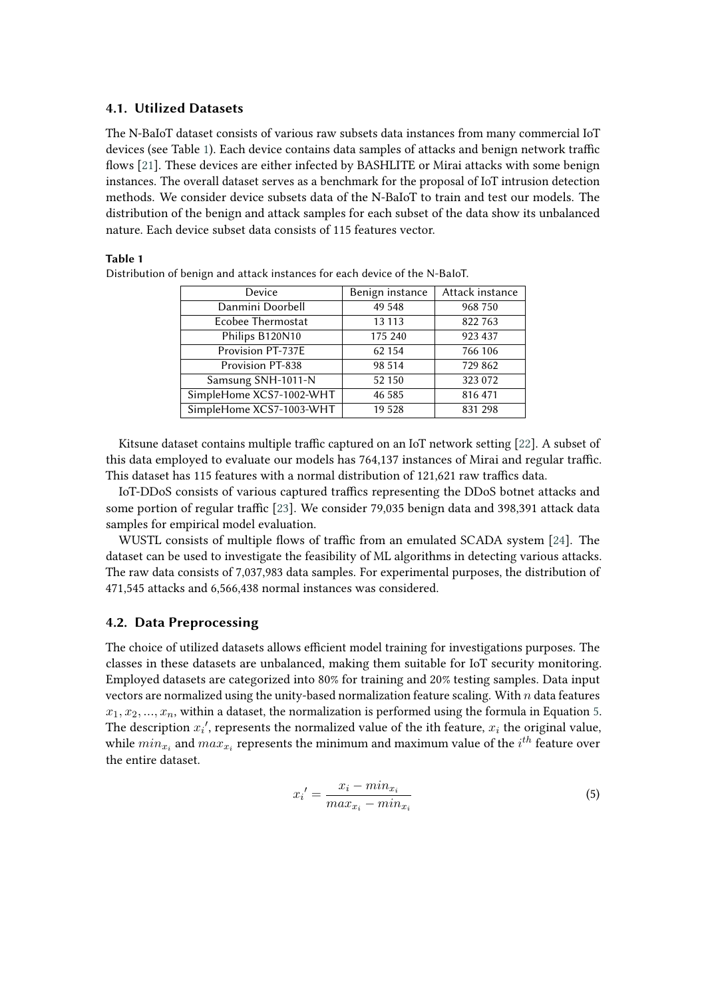### **4.1. Utilized Datasets**

The N-BaIoT dataset consists of various raw subsets data instances from many commercial IoT devices (see Table [1\)](#page-5-0). Each device contains data samples of attacks and benign network traffic flows [\[21\]](#page-13-9). These devices are either infected by BASHLITE or Mirai attacks with some benign instances. The overall dataset serves as a benchmark for the proposal of IoT intrusion detection methods. We consider device subsets data of the N-BaIoT to train and test our models. The distribution of the benign and attack samples for each subset of the data show its unbalanced nature. Each device subset data consists of 115 features vector.

#### <span id="page-5-0"></span>**Table 1**

| Device                   | Benign instance | Attack instance |  |
|--------------------------|-----------------|-----------------|--|
| Danmini Doorbell         | 49 548          | 968 750         |  |
| Ecobee Thermostat        | 13 113          | 822 763         |  |
| Philips B120N10          | 175 240         | 923 437         |  |
| Provision PT-737E        | 62 154          | 766 106         |  |
| <b>Provision PT-838</b>  | 98 514          | 729 862         |  |
| Samsung SNH-1011-N       | 52 150          | 323 072         |  |
| SimpleHome XCS7-1002-WHT | 46 58 5         | 816 471         |  |
| SimpleHome XCS7-1003-WHT | 19 5 28         | 831 298         |  |

Distribution of benign and attack instances for each device of the N-BaIoT.

Kitsune dataset contains multiple traffic captured on an IoT network setting [\[22\]](#page-13-10). A subset of this data employed to evaluate our models has 764,137 instances of Mirai and regular traffic. This dataset has 115 features with a normal distribution of 121,621 raw traffics data.

IoT-DDoS consists of various captured traffics representing the DDoS botnet attacks and some portion of regular traffic [\[23\]](#page-13-11). We consider 79,035 benign data and 398,391 attack data samples for empirical model evaluation.

WUSTL consists of multiple flows of traffic from an emulated SCADA system [\[24\]](#page-13-12). The dataset can be used to investigate the feasibility of ML algorithms in detecting various attacks. The raw data consists of 7,037,983 data samples. For experimental purposes, the distribution of 471,545 attacks and 6,566,438 normal instances was considered.

### **4.2. Data Preprocessing**

The choice of utilized datasets allows efficient model training for investigations purposes. The classes in these datasets are unbalanced, making them suitable for IoT security monitoring. Employed datasets are categorized into 80% for training and 20% testing samples. Data input vectors are normalized using the unity-based normalization feature scaling. With  $n$  data features  $x_1, x_2, ..., x_n$ , within a dataset, the normalization is performed using the formula in Equation [5.](#page-5-1) The description  $x_i'$ , represents the normalized value of the ith feature,  $x_i$  the original value, while  $min_{x_i}$  and  $max_{x_i}$  represents the minimum and maximum value of the  $i^{th}$  feature over the entire dataset.

<span id="page-5-1"></span>
$$
x_i' = \frac{x_i - \min_{x_i}}{\max_{x_i} - \min_{x_i}}\tag{5}
$$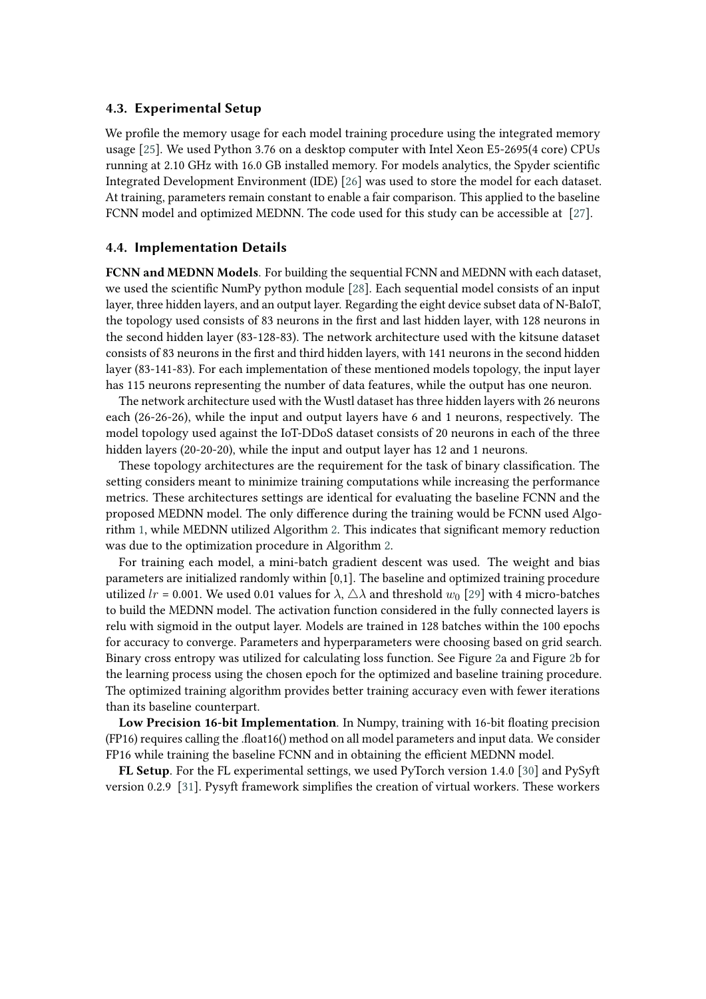### **4.3. Experimental Setup**

We profile the memory usage for each model training procedure using the integrated memory usage [\[25\]](#page-13-13). We used Python 3.76 on a desktop computer with Intel Xeon E5-2695(4 core) CPUs running at 2.10 GHz with 16.0 GB installed memory. For models analytics, the Spyder scientific Integrated Development Environment (IDE) [\[26\]](#page-13-14) was used to store the model for each dataset. At training, parameters remain constant to enable a fair comparison. This applied to the baseline FCNN model and optimized MEDNN. The code used for this study can be accessible at [\[27\]](#page-13-15).

#### **4.4. Implementation Details**

**FCNN and MEDNN Models**. For building the sequential FCNN and MEDNN with each dataset, we used the scientific NumPy python module [\[28\]](#page-13-16). Each sequential model consists of an input layer, three hidden layers, and an output layer. Regarding the eight device subset data of N-BaIoT, the topology used consists of 83 neurons in the first and last hidden layer, with 128 neurons in the second hidden layer (83-128-83). The network architecture used with the kitsune dataset consists of 83 neurons in the first and third hidden layers, with 141 neurons in the second hidden layer (83-141-83). For each implementation of these mentioned models topology, the input layer has 115 neurons representing the number of data features, while the output has one neuron.

The network architecture used with the Wustl dataset has three hidden layers with 26 neurons each (26-26-26), while the input and output layers have 6 and 1 neurons, respectively. The model topology used against the IoT-DDoS dataset consists of 20 neurons in each of the three hidden layers (20-20-20), while the input and output layer has 12 and 1 neurons.

These topology architectures are the requirement for the task of binary classification. The setting considers meant to minimize training computations while increasing the performance metrics. These architectures settings are identical for evaluating the baseline FCNN and the proposed MEDNN model. The only difference during the training would be FCNN used Algorithm [1,](#page-3-0) while MEDNN utilized Algorithm [2.](#page-4-1) This indicates that significant memory reduction was due to the optimization procedure in Algorithm [2.](#page-4-1)

For training each model, a mini-batch gradient descent was used. The weight and bias parameters are initialized randomly within [0,1]. The baseline and optimized training procedure utilized  $lr = 0.001$ . We used 0.01 values for  $\lambda$ ,  $\Delta\lambda$  and threshold  $w_0$  [\[29\]](#page-13-17) with 4 micro-batches to build the MEDNN model. The activation function considered in the fully connected layers is relu with sigmoid in the output layer. Models are trained in 128 batches within the 100 epochs for accuracy to converge. Parameters and hyperparameters were choosing based on grid search. Binary cross entropy was utilized for calculating loss function. See Figure [2a](#page-7-1) and Figure [2b](#page-7-1) for the learning process using the chosen epoch for the optimized and baseline training procedure. The optimized training algorithm provides better training accuracy even with fewer iterations than its baseline counterpart.

**Low Precision 16-bit Implementation**. In Numpy, training with 16-bit floating precision (FP16) requires calling the .float16() method on all model parameters and input data. We consider FP16 while training the baseline FCNN and in obtaining the efficient MEDNN model.

**FL Setup**. For the FL experimental settings, we used PyTorch version 1.4.0 [\[30\]](#page-13-18) and PySyft version 0.2.9 [\[31\]](#page-14-0). Pysyft framework simplifies the creation of virtual workers. These workers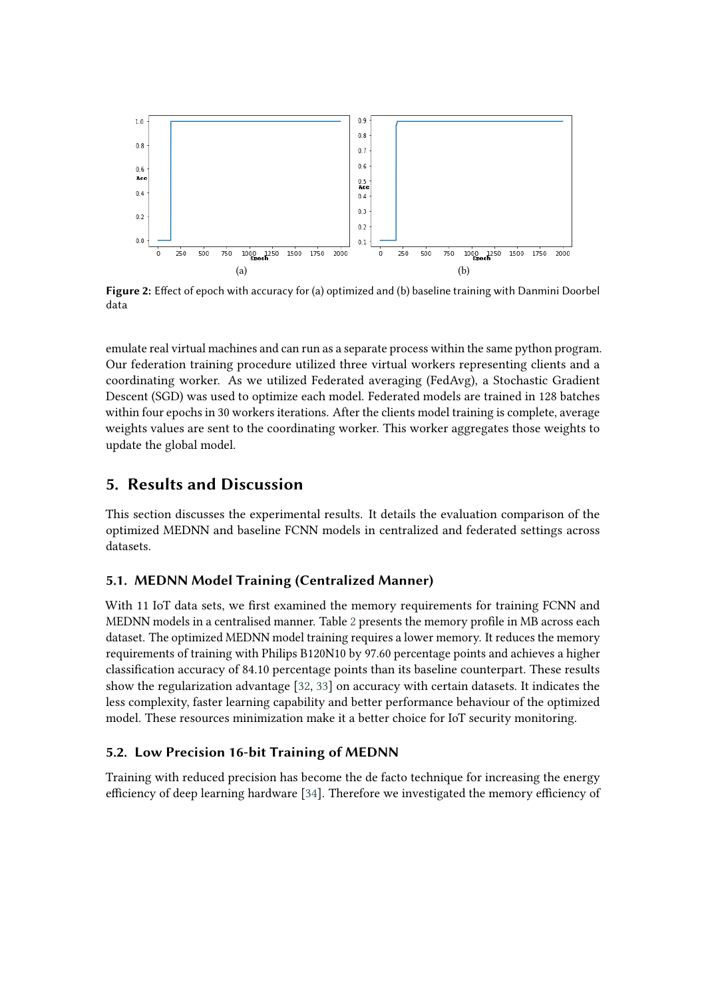<span id="page-7-1"></span>

**Figure 2:** Effect of epoch with accuracy for (a) optimized and (b) baseline training with Danmini Doorbel data

emulate real virtual machines and can run as a separate process within the same python program. Our federation training procedure utilized three virtual workers representing clients and a coordinating worker. As we utilized Federated averaging (FedAvg), a Stochastic Gradient Descent (SGD) was used to optimize each model. Federated models are trained in 128 batches within four epochs in 30 workers iterations. After the clients model training is complete, average weights values are sent to the coordinating worker. This worker aggregates those weights to update the global model.

### <span id="page-7-0"></span>**5. Results and Discussion**

This section discusses the experimental results. It details the evaluation comparison of the optimized MEDNN and baseline FCNN models in centralized and federated settings across datasets.

### **5.1. MEDNN Model Training (Centralized Manner)**

With 11 IoT data sets, we first examined the memory requirements for training FCNN and MEDNN models in a centralised manner. Table [2](#page-8-1) presents the memory profile in MB across each dataset. The optimized MEDNN model training requires a lower memory. It reduces the memory requirements of training with Philips B120N10 by 97.60 percentage points and achieves a higher classification accuracy of 84.10 percentage points than its baseline counterpart. These results show the regularization advantage [\[32,](#page-14-1) [33\]](#page-14-2) on accuracy with certain datasets. It indicates the less complexity, faster learning capability and better performance behaviour of the optimized model. These resources minimization make it a better choice for IoT security monitoring.

### **5.2. Low Precision 16-bit Training of MEDNN**

Training with reduced precision has become the de facto technique for increasing the energy efficiency of deep learning hardware [\[34\]](#page-14-3). Therefore we investigated the memory efficiency of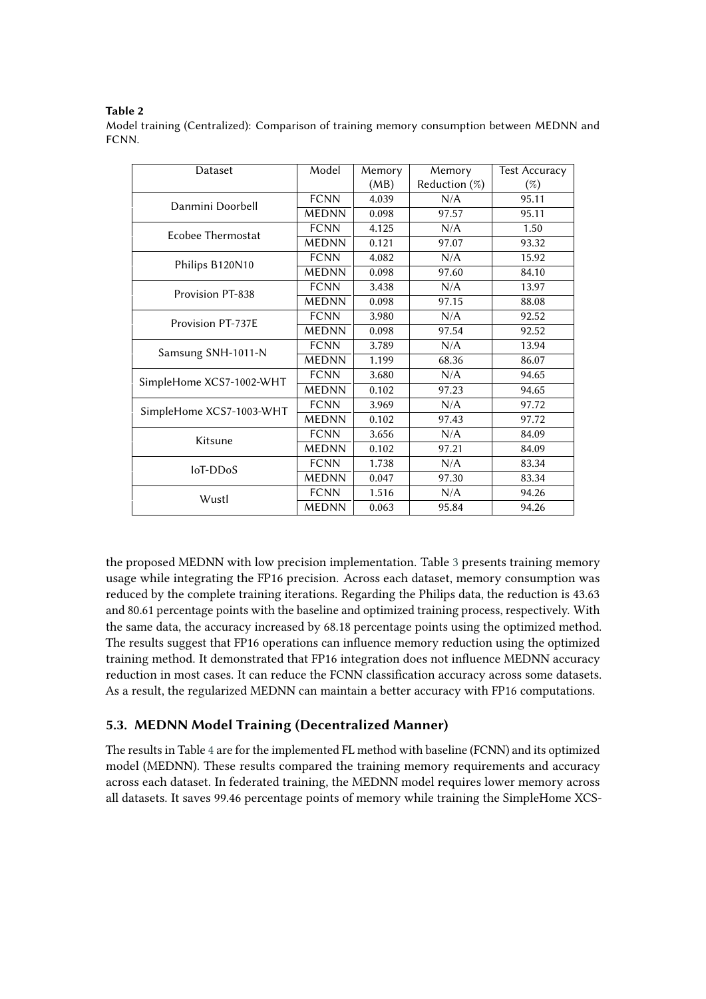### <span id="page-8-1"></span>**Table 2**

Model training (Centralized): Comparison of training memory consumption between MEDNN and FCNN.

| Dataset                  | Model               | Memory | Memory        | <b>Test Accuracy</b> |
|--------------------------|---------------------|--------|---------------|----------------------|
|                          |                     | (MB)   | Reduction (%) | (%)                  |
| Danmini Doorbell         | <b>FCNN</b>         | 4.039  | N/A           | 95.11                |
|                          | <b>MEDNN</b>        | 0.098  | 97.57         | 95.11                |
| <b>Ecobee Thermostat</b> | <b>FCNN</b>         | 4.125  | N/A           | 1.50                 |
|                          | <b>MEDNN</b>        | 0.121  | 97.07         | 93.32                |
| Philips B120N10          | <b>FCNN</b>         | 4.082  | N/A           | 15.92                |
|                          | <b>MEDNN</b>        | 0.098  | 97.60         | 84.10                |
| Provision PT-838         | <b>FCNN</b>         | 3.438  | N/A           | 13.97                |
|                          | <b>MEDNN</b>        | 0.098  | 97.15         | 88.08                |
| Provision PT-737E        | <b>FCNN</b>         | 3.980  | N/A           | 92.52                |
|                          | <b>MEDNN</b>        | 0.098  | 97.54         | 92.52                |
| Samsung SNH-1011-N       | <b>FCNN</b>         | 3.789  | N/A           | 13.94                |
|                          | <b>MEDNN</b>        | 1.199  | 68.36         | 86.07                |
| SimpleHome XCS7-1002-WHT | <b>FCNN</b>         | 3.680  | N/A           | 94.65                |
|                          | $\overline{M}$ EDNN | 0.102  | 97.23         | 94.65                |
| SimpleHome XCS7-1003-WHT | <b>FCNN</b>         | 3.969  | N/A           | 97.72                |
|                          | <b>MEDNN</b>        | 0.102  | 97.43         | 97.72                |
| Kitsune                  | <b>FCNN</b>         | 3.656  | N/A           | 84.09                |
|                          | <b>MEDNN</b>        | 0.102  | 97.21         | 84.09                |
| loT-DDoS                 | <b>FCNN</b>         | 1.738  | N/A           | 83.34                |
|                          | <b>MEDNN</b>        | 0.047  | 97.30         | 83.34                |
| Wustl                    | <b>FCNN</b>         | 1.516  | N/A           | 94.26                |
|                          | <b>MEDNN</b>        | 0.063  | 95.84         | 94.26                |

the proposed MEDNN with low precision implementation. Table [3](#page-9-0) presents training memory usage while integrating the FP16 precision. Across each dataset, memory consumption was reduced by the complete training iterations. Regarding the Philips data, the reduction is 43.63 and 80.61 percentage points with the baseline and optimized training process, respectively. With the same data, the accuracy increased by 68.18 percentage points using the optimized method. The results suggest that FP16 operations can influence memory reduction using the optimized training method. It demonstrated that FP16 integration does not influence MEDNN accuracy reduction in most cases. It can reduce the FCNN classification accuracy across some datasets. As a result, the regularized MEDNN can maintain a better accuracy with FP16 computations.

# <span id="page-8-0"></span>**5.3. MEDNN Model Training (Decentralized Manner)**

The results in Table [4](#page-10-0) are for the implemented FL method with baseline (FCNN) and its optimized model (MEDNN). These results compared the training memory requirements and accuracy across each dataset. In federated training, the MEDNN model requires lower memory across all datasets. It saves 99.46 percentage points of memory while training the SimpleHome XCS-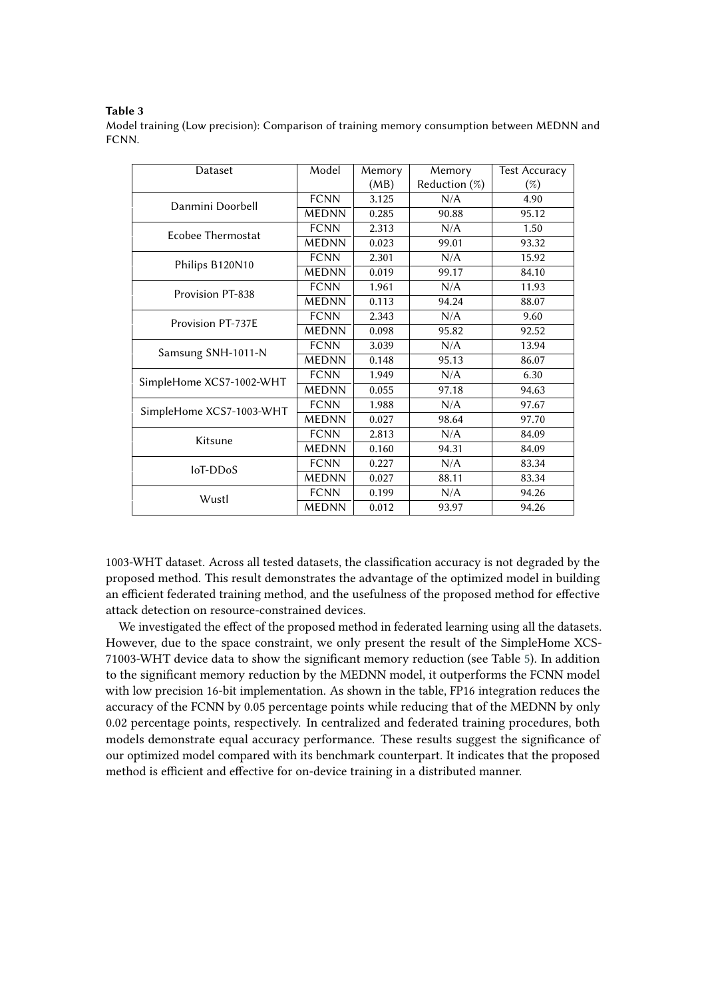#### <span id="page-9-0"></span>**Table 3**

Model training (Low precision): Comparison of training memory consumption between MEDNN and FCNN.

| Dataset                  | Model        | Memory | Memory        | <b>Test Accuracy</b> |
|--------------------------|--------------|--------|---------------|----------------------|
|                          |              | (MB)   | Reduction (%) | (%)                  |
| Danmini Doorbell         | <b>FCNN</b>  | 3.125  | N/A           | 4.90                 |
|                          | <b>MEDNN</b> | 0.285  | 90.88         | 95.12                |
| Ecobee Thermostat        | <b>FCNN</b>  | 2.313  | N/A           | 1.50                 |
|                          | <b>MEDNN</b> | 0.023  | 99.01         | 93.32                |
| Philips B120N10          | <b>FCNN</b>  | 2.301  | N/A           | 15.92                |
|                          | <b>MEDNN</b> | 0.019  | 99.17         | 84.10                |
| Provision PT-838         | <b>FCNN</b>  | 1.961  | N/A           | 11.93                |
|                          | <b>MEDNN</b> | 0.113  | 94.24         | 88.07                |
| Provision PT-737E        | <b>FCNN</b>  | 2.343  | N/A           | 9.60                 |
|                          | <b>MEDNN</b> | 0.098  | 95.82         | 92.52                |
| Samsung SNH-1011-N       | <b>FCNN</b>  | 3.039  | N/A           | 13.94                |
|                          | <b>MEDNN</b> | 0.148  | 95.13         | 86.07                |
| SimpleHome XCS7-1002-WHT | <b>FCNN</b>  | 1.949  | N/A           | 6.30                 |
|                          | <b>MEDNN</b> | 0.055  | 97.18         | 94.63                |
| SimpleHome XCS7-1003-WHT | <b>FCNN</b>  | 1.988  | N/A           | 97.67                |
|                          | <b>MEDNN</b> | 0.027  | 98.64         | 97.70                |
| Kitsune                  | <b>FCNN</b>  | 2.813  | N/A           | 84.09                |
|                          | <b>MEDNN</b> | 0.160  | 94.31         | 84.09                |
| loT-DDoS                 | <b>FCNN</b>  | 0.227  | N/A           | 83.34                |
|                          | <b>MEDNN</b> | 0.027  | 88.11         | 83.34                |
| Wustl                    | <b>FCNN</b>  | 0.199  | N/A           | 94.26                |
|                          | <b>MEDNN</b> | 0.012  | 93.97         | 94.26                |

1003-WHT dataset. Across all tested datasets, the classification accuracy is not degraded by the proposed method. This result demonstrates the advantage of the optimized model in building an efficient federated training method, and the usefulness of the proposed method for effective attack detection on resource-constrained devices.

We investigated the effect of the proposed method in federated learning using all the datasets. However, due to the space constraint, we only present the result of the SimpleHome XCS-71003-WHT device data to show the significant memory reduction (see Table [5\)](#page-10-1). In addition to the significant memory reduction by the MEDNN model, it outperforms the FCNN model with low precision 16-bit implementation. As shown in the table, FP16 integration reduces the accuracy of the FCNN by 0.05 percentage points while reducing that of the MEDNN by only 0.02 percentage points, respectively. In centralized and federated training procedures, both models demonstrate equal accuracy performance. These results suggest the significance of our optimized model compared with its benchmark counterpart. It indicates that the proposed method is efficient and effective for on-device training in a distributed manner.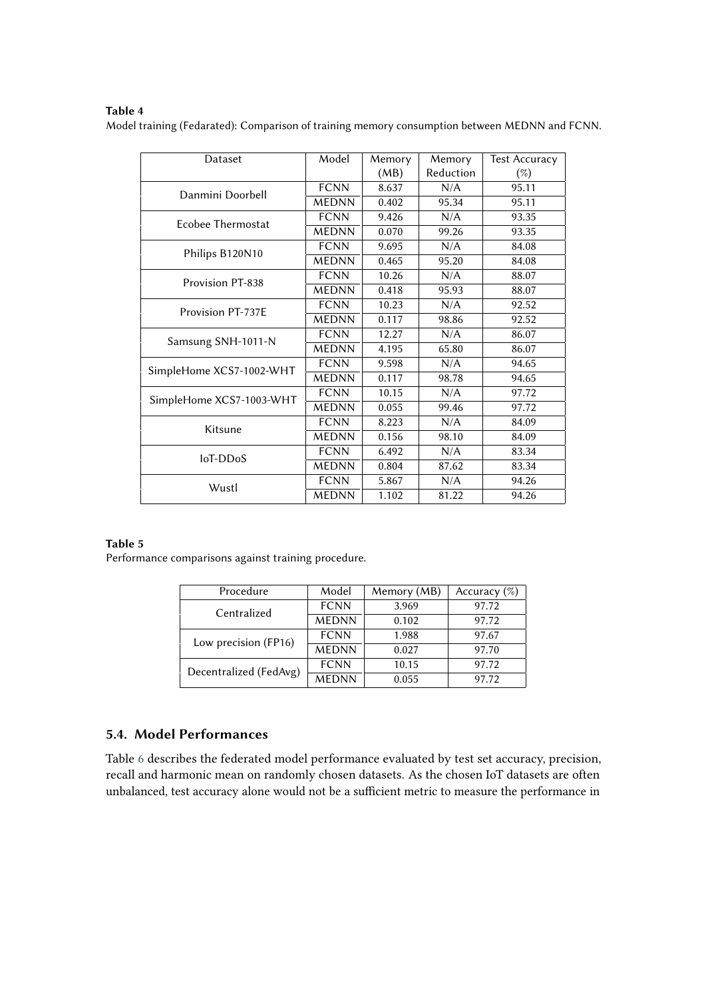### <span id="page-10-0"></span>**Table 4**

Model training (Fedarated): Comparison of training memory consumption between MEDNN and FCNN.

| Dataset                  | Model        | Memory | Memory    | <b>Test Accuracy</b> |
|--------------------------|--------------|--------|-----------|----------------------|
|                          |              | (MB)   | Reduction | $(\%)$               |
| Danmini Doorbell         | <b>FCNN</b>  | 8.637  | N/A       | 95.11                |
|                          | <b>MEDNN</b> | 0.402  | 95.34     | 95.11                |
| Ecobee Thermostat        | <b>FCNN</b>  | 9.426  | N/A       | 93.35                |
|                          | <b>MEDNN</b> | 0.070  | 99.26     | 93.35                |
| Philips B120N10          | <b>FCNN</b>  | 9.695  | N/A       | 84.08                |
|                          | <b>MEDNN</b> | 0.465  | 95.20     | 84.08                |
| Provision PT-838         | <b>FCNN</b>  | 10.26  | N/A       | 88.07                |
|                          | <b>MEDNN</b> | 0.418  | 95.93     | 88.07                |
| Provision PT-737E        | <b>FCNN</b>  | 10.23  | N/A       | 92.52                |
|                          | <b>MEDNN</b> | 0.117  | 98.86     | 92.52                |
| Samsung SNH-1011-N       | <b>FCNN</b>  | 12.27  | N/A       | 86.07                |
|                          | <b>MEDNN</b> | 4.195  | 65.80     | 86.07                |
| SimpleHome XCS7-1002-WHT | <b>FCNN</b>  | 9.598  | N/A       | 94.65                |
|                          | <b>MEDNN</b> | 0.117  | 98.78     | 94.65                |
| SimpleHome XCS7-1003-WHT | <b>FCNN</b>  | 10.15  | N/A       | 97.72                |
|                          | <b>MEDNN</b> | 0.055  | 99.46     | 97.72                |
| Kitsune                  | <b>FCNN</b>  | 8.223  | N/A       | 84.09                |
|                          | <b>MEDNN</b> | 0.156  | 98.10     | 84.09                |
| loT-DDoS                 | <b>FCNN</b>  | 6.492  | N/A       | 83.34                |
|                          | <b>MEDNN</b> | 0.804  | 87.62     | 83.34                |
| Wustl                    | <b>FCNN</b>  | 5.867  | N/A       | 94.26                |
|                          | <b>MEDNN</b> | 1.102  | 81.22     | 94.26                |

### <span id="page-10-1"></span>**Table 5**

Performance comparisons against training procedure.

| Procedure              | Model        | Memory (MB) | Accuracy $(\%)$ |  |
|------------------------|--------------|-------------|-----------------|--|
| Centralized            | <b>FCNN</b>  | 3.969       | 97.72           |  |
|                        | <b>MEDNN</b> | 0.102       | 97.72           |  |
| Low precision (FP16)   | <b>FCNN</b>  | 1.988       | 97.67           |  |
|                        | <b>MEDNN</b> | 0.027       | 97.70           |  |
| Decentralized (FedAvg) | <b>FCNN</b>  | 10.15       | 97.72           |  |
|                        | <b>MEDNN</b> | 0.055       | 97.72           |  |

# **5.4. Model Performances**

Table [6](#page-11-1) describes the federated model performance evaluated by test set accuracy, precision, recall and harmonic mean on randomly chosen datasets. As the chosen IoT datasets are often unbalanced, test accuracy alone would not be a sufficient metric to measure the performance in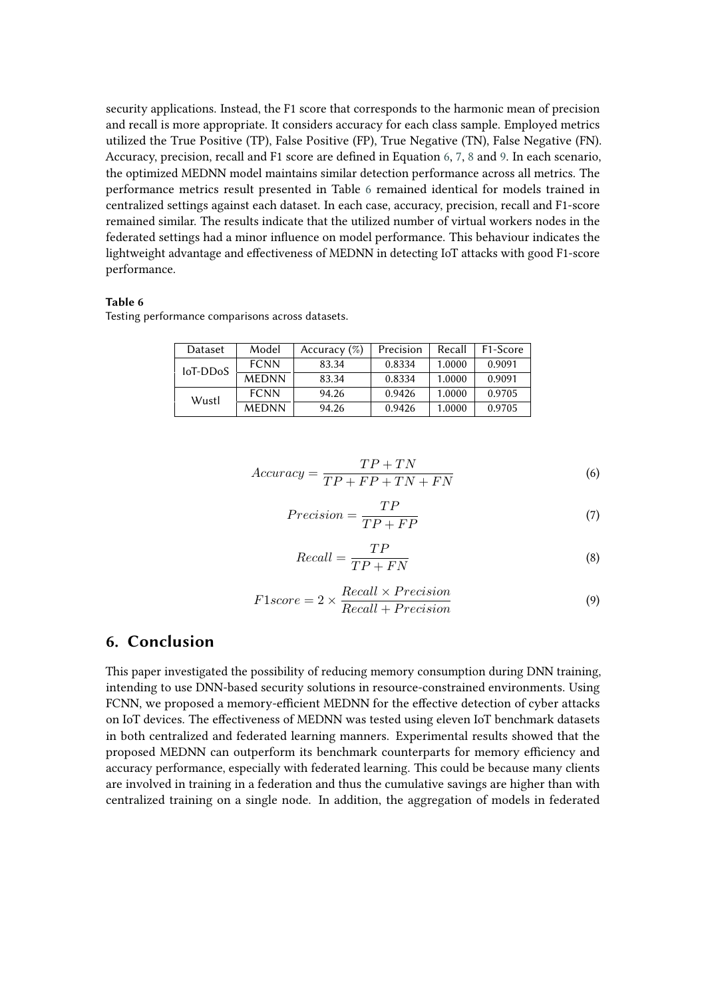security applications. Instead, the F1 score that corresponds to the harmonic mean of precision and recall is more appropriate. It considers accuracy for each class sample. Employed metrics utilized the True Positive (TP), False Positive (FP), True Negative (TN), False Negative (FN). Accuracy, precision, recall and F1 score are defined in Equation [6,](#page-11-2) [7,](#page-11-3) [8](#page-11-4) and [9.](#page-11-5) In each scenario, the optimized MEDNN model maintains similar detection performance across all metrics. The performance metrics result presented in Table [6](#page-11-1) remained identical for models trained in centralized settings against each dataset. In each case, accuracy, precision, recall and F1-score remained similar. The results indicate that the utilized number of virtual workers nodes in the federated settings had a minor influence on model performance. This behaviour indicates the lightweight advantage and effectiveness of MEDNN in detecting IoT attacks with good F1-score performance.

#### <span id="page-11-1"></span>**Table 6**

Testing performance comparisons across datasets.

| Dataset    | Model        | Accuracy $(\%)$ | Precision | Recall | F <sub>1</sub> -Score |
|------------|--------------|-----------------|-----------|--------|-----------------------|
| $IoT-DDoS$ | <b>FCNN</b>  | 83.34           | 0.8334    | 1.0000 | 0.9091                |
|            | <b>MEDNN</b> | 83.34           | 0.8334    | 1.0000 | 0.9091                |
| Wustl      | <b>FCNN</b>  | 94.26           | 0.9426    | 1.0000 | 0.9705                |
|            | <b>MEDNN</b> | 94.26           | 0.9426    | 1.0000 | 0.9705                |

<span id="page-11-2"></span>
$$
Accuracy = \frac{TP + TN}{TP + FP + TN + FN}
$$
\n(6)

<span id="page-11-3"></span>
$$
Precision = \frac{TP}{TP + FP}
$$
\n<sup>(7)</sup>

<span id="page-11-4"></span>
$$
Recall = \frac{TP}{TP + FN}
$$
\n<sup>(8)</sup>

<span id="page-11-5"></span>
$$
F1score = 2 \times \frac{Recall \times Precision}{Recall + Precision}
$$
\n(9)

### <span id="page-11-0"></span>**6. Conclusion**

This paper investigated the possibility of reducing memory consumption during DNN training, intending to use DNN-based security solutions in resource-constrained environments. Using FCNN, we proposed a memory-efficient MEDNN for the effective detection of cyber attacks on IoT devices. The effectiveness of MEDNN was tested using eleven IoT benchmark datasets in both centralized and federated learning manners. Experimental results showed that the proposed MEDNN can outperform its benchmark counterparts for memory efficiency and accuracy performance, especially with federated learning. This could be because many clients are involved in training in a federation and thus the cumulative savings are higher than with centralized training on a single node. In addition, the aggregation of models in federated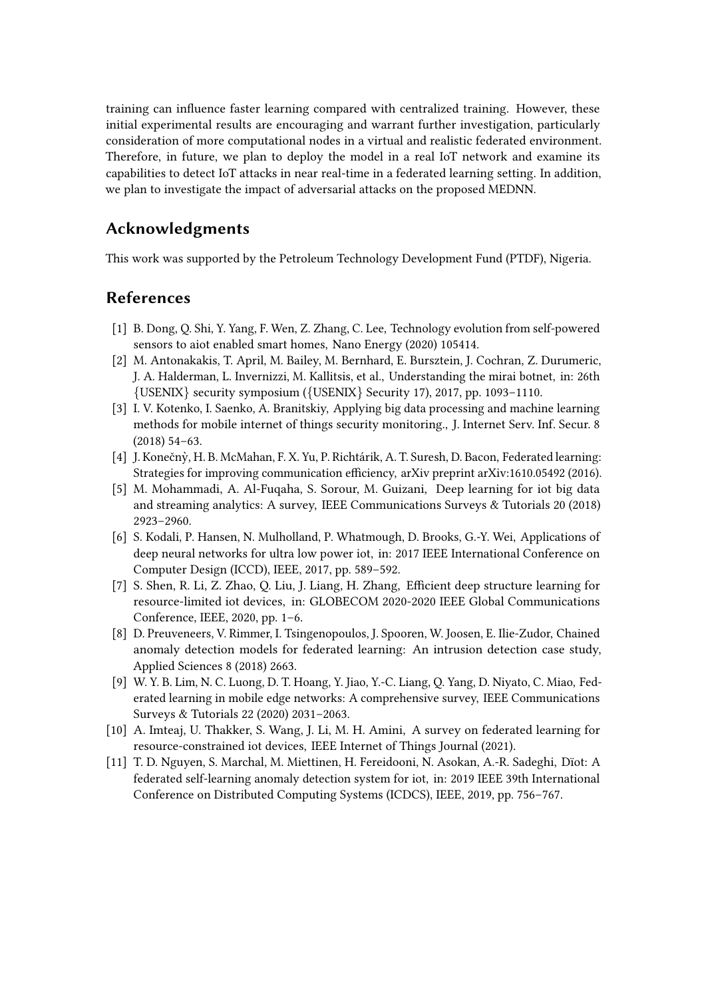training can influence faster learning compared with centralized training. However, these initial experimental results are encouraging and warrant further investigation, particularly consideration of more computational nodes in a virtual and realistic federated environment. Therefore, in future, we plan to deploy the model in a real IoT network and examine its capabilities to detect IoT attacks in near real-time in a federated learning setting. In addition, we plan to investigate the impact of adversarial attacks on the proposed MEDNN.

# **Acknowledgments**

This work was supported by the Petroleum Technology Development Fund (PTDF), Nigeria.

# **References**

- [1] B. Dong, Q. Shi, Y. Yang, F. Wen, Z. Zhang, C. Lee, Technology evolution from self-powered sensors to aiot enabled smart homes, Nano Energy (2020) 105414.
- [2] M. Antonakakis, T. April, M. Bailey, M. Bernhard, E. Bursztein, J. Cochran, Z. Durumeric, J. A. Halderman, L. Invernizzi, M. Kallitsis, et al., Understanding the mirai botnet, in: 26th  $\{$  USENIX $\}$  security symposium ( $\{$  USENIX $\}$  Security 17), 2017, pp. 1093–1110.
- [3] I. V. Kotenko, I. Saenko, A. Branitskiy, Applying big data processing and machine learning methods for mobile internet of things security monitoring., J. Internet Serv. Inf. Secur. 8 (2018) 54–63.
- <span id="page-12-0"></span>[4] J. Konečny, H. B. McMahan, F. X. Yu, P. Richtárik, A. T. Suresh, D. Bacon, Federated learning: ` Strategies for improving communication efficiency, arXiv preprint arXiv:1610.05492 (2016).
- <span id="page-12-1"></span>[5] M. Mohammadi, A. Al-Fuqaha, S. Sorour, M. Guizani, Deep learning for iot big data and streaming analytics: A survey, IEEE Communications Surveys & Tutorials 20 (2018) 2923–2960.
- <span id="page-12-2"></span>[6] S. Kodali, P. Hansen, N. Mulholland, P. Whatmough, D. Brooks, G.-Y. Wei, Applications of deep neural networks for ultra low power iot, in: 2017 IEEE International Conference on Computer Design (ICCD), IEEE, 2017, pp. 589–592.
- <span id="page-12-3"></span>[7] S. Shen, R. Li, Z. Zhao, Q. Liu, J. Liang, H. Zhang, Efficient deep structure learning for resource-limited iot devices, in: GLOBECOM 2020-2020 IEEE Global Communications Conference, IEEE, 2020, pp. 1–6.
- <span id="page-12-4"></span>[8] D. Preuveneers, V. Rimmer, I. Tsingenopoulos, J. Spooren, W. Joosen, E. Ilie-Zudor, Chained anomaly detection models for federated learning: An intrusion detection case study, Applied Sciences 8 (2018) 2663.
- <span id="page-12-5"></span>[9] W. Y. B. Lim, N. C. Luong, D. T. Hoang, Y. Jiao, Y.-C. Liang, Q. Yang, D. Niyato, C. Miao, Federated learning in mobile edge networks: A comprehensive survey, IEEE Communications Surveys & Tutorials 22 (2020) 2031–2063.
- <span id="page-12-6"></span>[10] A. Imteaj, U. Thakker, S. Wang, J. Li, M. H. Amini, A survey on federated learning for resource-constrained iot devices, IEEE Internet of Things Journal (2021).
- <span id="page-12-7"></span>[11] T. D. Nguyen, S. Marchal, M. Miettinen, H. Fereidooni, N. Asokan, A.-R. Sadeghi, Dïot: A federated self-learning anomaly detection system for iot, in: 2019 IEEE 39th International Conference on Distributed Computing Systems (ICDCS), IEEE, 2019, pp. 756–767.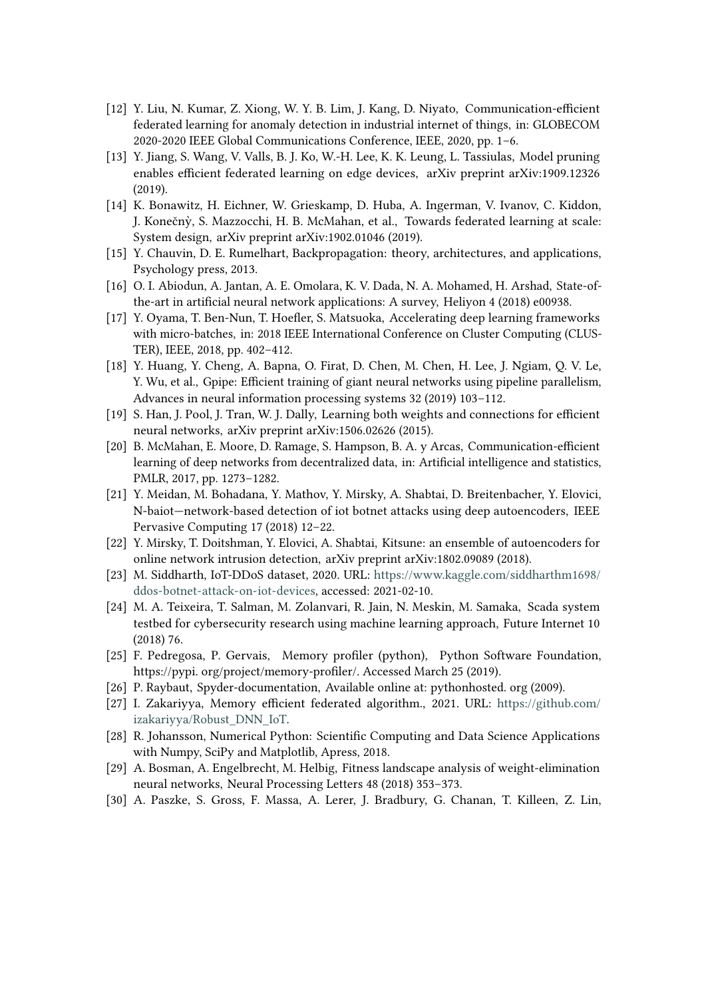- <span id="page-13-0"></span>[12] Y. Liu, N. Kumar, Z. Xiong, W. Y. B. Lim, J. Kang, D. Niyato, Communication-efficient federated learning for anomaly detection in industrial internet of things, in: GLOBECOM 2020-2020 IEEE Global Communications Conference, IEEE, 2020, pp. 1–6.
- <span id="page-13-1"></span>[13] Y. Jiang, S. Wang, V. Valls, B. J. Ko, W.-H. Lee, K. K. Leung, L. Tassiulas, Model pruning enables efficient federated learning on edge devices, arXiv preprint arXiv:1909.12326 (2019).
- <span id="page-13-2"></span>[14] K. Bonawitz, H. Eichner, W. Grieskamp, D. Huba, A. Ingerman, V. Ivanov, C. Kiddon, J. Konečny, S. Mazzocchi, H. B. McMahan, et al., Towards federated learning at scale: ` System design, arXiv preprint arXiv:1902.01046 (2019).
- <span id="page-13-3"></span>[15] Y. Chauvin, D. E. Rumelhart, Backpropagation: theory, architectures, and applications, Psychology press, 2013.
- <span id="page-13-4"></span>[16] O. I. Abiodun, A. Jantan, A. E. Omolara, K. V. Dada, N. A. Mohamed, H. Arshad, State-ofthe-art in artificial neural network applications: A survey, Heliyon 4 (2018) e00938.
- <span id="page-13-5"></span>[17] Y. Oyama, T. Ben-Nun, T. Hoefler, S. Matsuoka, Accelerating deep learning frameworks with micro-batches, in: 2018 IEEE International Conference on Cluster Computing (CLUS-TER), IEEE, 2018, pp. 402–412.
- <span id="page-13-6"></span>[18] Y. Huang, Y. Cheng, A. Bapna, O. Firat, D. Chen, M. Chen, H. Lee, J. Ngiam, Q. V. Le, Y. Wu, et al., Gpipe: Efficient training of giant neural networks using pipeline parallelism, Advances in neural information processing systems 32 (2019) 103–112.
- <span id="page-13-7"></span>[19] S. Han, J. Pool, J. Tran, W. J. Dally, Learning both weights and connections for efficient neural networks, arXiv preprint arXiv:1506.02626 (2015).
- <span id="page-13-8"></span>[20] B. McMahan, E. Moore, D. Ramage, S. Hampson, B. A. y Arcas, Communication-efficient learning of deep networks from decentralized data, in: Artificial intelligence and statistics, PMLR, 2017, pp. 1273–1282.
- <span id="page-13-9"></span>[21] Y. Meidan, M. Bohadana, Y. Mathov, Y. Mirsky, A. Shabtai, D. Breitenbacher, Y. Elovici, N-baiot—network-based detection of iot botnet attacks using deep autoencoders, IEEE Pervasive Computing 17 (2018) 12–22.
- <span id="page-13-10"></span>[22] Y. Mirsky, T. Doitshman, Y. Elovici, A. Shabtai, Kitsune: an ensemble of autoencoders for online network intrusion detection, arXiv preprint arXiv:1802.09089 (2018).
- <span id="page-13-11"></span>[23] M. Siddharth, IoT-DDoS dataset, 2020. URL: [https://www.kaggle.com/siddharthm1698/](https://www.kaggle.com/siddharthm1698/ddos-botnet-attack-on-iot-devices) [ddos-botnet-attack-on-iot-devices,](https://www.kaggle.com/siddharthm1698/ddos-botnet-attack-on-iot-devices) accessed: 2021-02-10.
- <span id="page-13-12"></span>[24] M. A. Teixeira, T. Salman, M. Zolanvari, R. Jain, N. Meskin, M. Samaka, Scada system testbed for cybersecurity research using machine learning approach, Future Internet 10 (2018) 76.
- <span id="page-13-13"></span>[25] F. Pedregosa, P. Gervais, Memory profiler (python), Python Software Foundation, https://pypi. org/project/memory-profiler/. Accessed March 25 (2019).
- <span id="page-13-14"></span>[26] P. Raybaut, Spyder-documentation, Available online at: pythonhosted. org (2009).
- <span id="page-13-15"></span>[27] I. Zakariyya, Memory efficient federated algorithm., 2021. URL: [https://github.com/](https://github.com/izakariyya/Robust_DNN_IoT) [izakariyya/Robust\\_DNN\\_IoT.](https://github.com/izakariyya/Robust_DNN_IoT)
- <span id="page-13-16"></span>[28] R. Johansson, Numerical Python: Scientific Computing and Data Science Applications with Numpy, SciPy and Matplotlib, Apress, 2018.
- <span id="page-13-17"></span>[29] A. Bosman, A. Engelbrecht, M. Helbig, Fitness landscape analysis of weight-elimination neural networks, Neural Processing Letters 48 (2018) 353–373.
- <span id="page-13-18"></span>[30] A. Paszke, S. Gross, F. Massa, A. Lerer, J. Bradbury, G. Chanan, T. Killeen, Z. Lin,